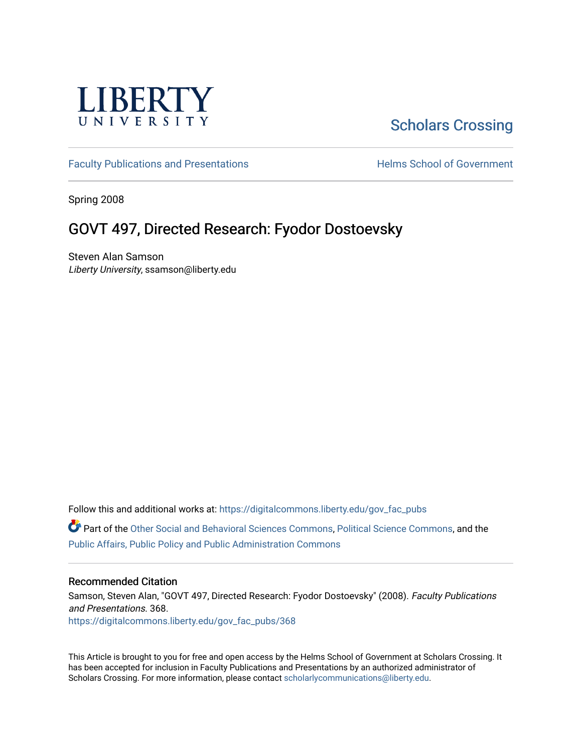

# [Scholars Crossing](https://digitalcommons.liberty.edu/)

[Faculty Publications and Presentations](https://digitalcommons.liberty.edu/gov_fac_pubs) **Exercise School of Government** 

Spring 2008

## GOVT 497, Directed Research: Fyodor Dostoevsky

Steven Alan Samson Liberty University, ssamson@liberty.edu

Follow this and additional works at: [https://digitalcommons.liberty.edu/gov\\_fac\\_pubs](https://digitalcommons.liberty.edu/gov_fac_pubs?utm_source=digitalcommons.liberty.edu%2Fgov_fac_pubs%2F368&utm_medium=PDF&utm_campaign=PDFCoverPages)

Part of the [Other Social and Behavioral Sciences Commons](http://network.bepress.com/hgg/discipline/437?utm_source=digitalcommons.liberty.edu%2Fgov_fac_pubs%2F368&utm_medium=PDF&utm_campaign=PDFCoverPages), [Political Science Commons](http://network.bepress.com/hgg/discipline/386?utm_source=digitalcommons.liberty.edu%2Fgov_fac_pubs%2F368&utm_medium=PDF&utm_campaign=PDFCoverPages), and the [Public Affairs, Public Policy and Public Administration Commons](http://network.bepress.com/hgg/discipline/393?utm_source=digitalcommons.liberty.edu%2Fgov_fac_pubs%2F368&utm_medium=PDF&utm_campaign=PDFCoverPages)

### Recommended Citation

Samson, Steven Alan, "GOVT 497, Directed Research: Fyodor Dostoevsky" (2008). Faculty Publications and Presentations. 368. [https://digitalcommons.liberty.edu/gov\\_fac\\_pubs/368](https://digitalcommons.liberty.edu/gov_fac_pubs/368?utm_source=digitalcommons.liberty.edu%2Fgov_fac_pubs%2F368&utm_medium=PDF&utm_campaign=PDFCoverPages)

This Article is brought to you for free and open access by the Helms School of Government at Scholars Crossing. It has been accepted for inclusion in Faculty Publications and Presentations by an authorized administrator of Scholars Crossing. For more information, please contact [scholarlycommunications@liberty.edu.](mailto:scholarlycommunications@liberty.edu)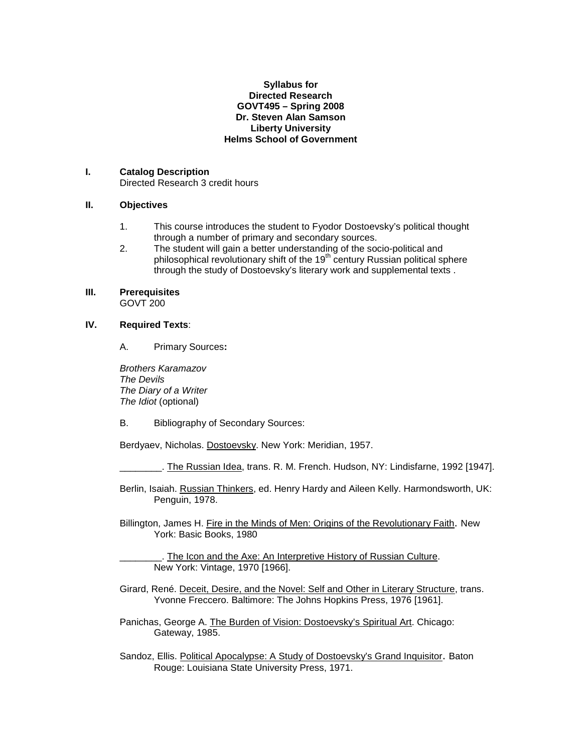#### **Syllabus for Directed Research GOVT495 – Spring 2008 Dr. Steven Alan Samson Liberty University Helms School of Government**

#### **I. Catalog Description**

Directed Research 3 credit hours

## **II. Objectives**

- 1. This course introduces the student to Fyodor Dostoevsky's political thought through a number of primary and secondary sources.
- 2. The student will gain a better understanding of the socio-political and philosophical revolutionary shift of the 19<sup>th</sup> century Russian political sphere through the study of Dostoevsky's literary work and supplemental texts .

#### **III. Prerequisites** GOVT 200

#### **IV. Required Texts**:

A. Primary Sources**:**

*Brothers Karamazov The Devils The Diary of a Writer The Idiot* (optional)

B. Bibliography of Secondary Sources:

Berdyaev, Nicholas. Dostoevsky. New York: Meridian, 1957.

\_\_\_\_\_\_\_\_. The Russian Idea, trans. R. M. French. Hudson, NY: Lindisfarne, 1992 [1947].

Berlin, Isaiah. Russian Thinkers, ed. Henry Hardy and Aileen Kelly. Harmondsworth, UK: Penguin, 1978.

Billington, James H. Fire in the Minds of Men: Origins of the Revolutionary Faith. New York: Basic Books, 1980

\_\_\_\_\_\_\_\_. The Icon and the Axe: An Interpretive History of Russian Culture. New York: Vintage, 1970 [1966].

Girard, René. Deceit, Desire, and the Novel: Self and Other in Literary Structure, trans. Yvonne Freccero. Baltimore: The Johns Hopkins Press, 1976 [1961].

Panichas, George A. The Burden of Vision: Dostoevsky's Spiritual Art. Chicago: Gateway, 1985.

Sandoz, Ellis. Political Apocalypse: A Study of Dostoevsky's Grand Inquisitor. Baton Rouge: Louisiana State University Press, 1971.